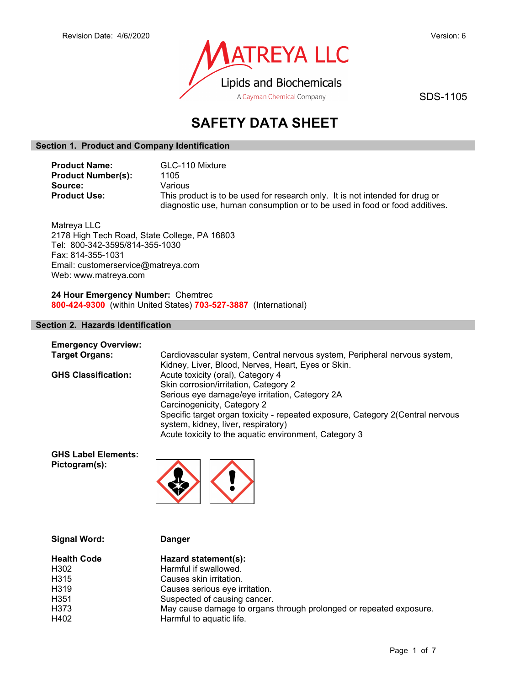

SDS-1105

# SAFETY DATA SHEET

## Section 1. Product and Company Identification

| <b>Product Name:</b>      | GLC-110 Mixture                                                              |
|---------------------------|------------------------------------------------------------------------------|
| <b>Product Number(s):</b> | 1105                                                                         |
| Source:                   | Various                                                                      |
| <b>Product Use:</b>       | This product is to be used for research only. It is not intended for drug or |
|                           | diagnostic use, human consumption or to be used in food or food additives.   |

Matreya LLC 2178 High Tech Road, State College, PA 16803 Tel: 800-342-3595/814-355-1030 Fax: 814-355-1031 Email: customerservice@matreya.com Web: www.matreya.com

24 Hour Emergency Number: Chemtrec 800-424-9300 (within United States) 703-527-3887 (International)

## Section 2. Hazards Identification

| <b>Emergency Overview:</b> |                                                                                                                        |
|----------------------------|------------------------------------------------------------------------------------------------------------------------|
| <b>Target Organs:</b>      | Cardiovascular system, Central nervous system, Peripheral nervous system,                                              |
|                            | Kidney, Liver, Blood, Nerves, Heart, Eyes or Skin.                                                                     |
| <b>GHS Classification:</b> | Acute toxicity (oral), Category 4                                                                                      |
|                            | Skin corrosion/irritation, Category 2                                                                                  |
|                            | Serious eye damage/eye irritation, Category 2A                                                                         |
|                            | Carcinogenicity, Category 2                                                                                            |
|                            | Specific target organ toxicity - repeated exposure, Category 2 (Central nervous<br>system, kidney, liver, respiratory) |
|                            | Acute toxicity to the aquatic environment, Category 3                                                                  |

GHS Label Elements: Pictogram(s):



| May cause damage to organs through prolonged or repeated exposure. |
|--------------------------------------------------------------------|
|                                                                    |
|                                                                    |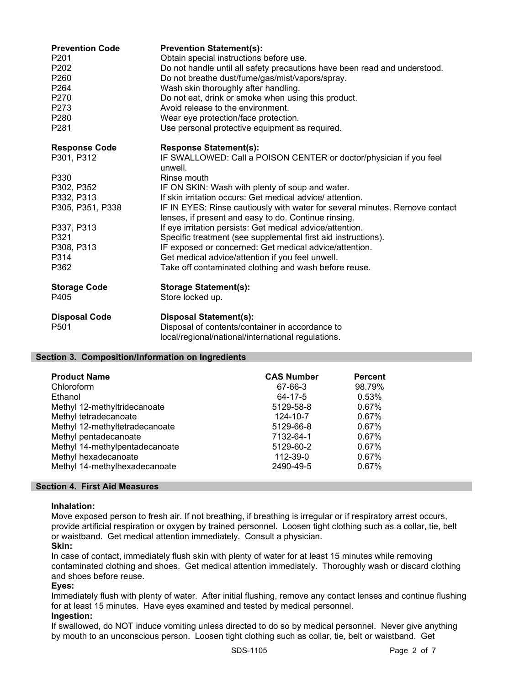| <b>Prevention Code</b><br>P <sub>201</sub><br>P <sub>202</sub><br>P <sub>260</sub><br>P264<br>P270<br>P273<br>P280<br>P281 | <b>Prevention Statement(s):</b><br>Obtain special instructions before use.<br>Do not handle until all safety precautions have been read and understood.<br>Do not breathe dust/fume/gas/mist/vapors/spray.<br>Wash skin thoroughly after handling.<br>Do not eat, drink or smoke when using this product.<br>Avoid release to the environment.<br>Wear eye protection/face protection.<br>Use personal protective equipment as required. |
|----------------------------------------------------------------------------------------------------------------------------|------------------------------------------------------------------------------------------------------------------------------------------------------------------------------------------------------------------------------------------------------------------------------------------------------------------------------------------------------------------------------------------------------------------------------------------|
| <b>Response Code</b>                                                                                                       | <b>Response Statement(s):</b>                                                                                                                                                                                                                                                                                                                                                                                                            |
| P301, P312                                                                                                                 | IF SWALLOWED: Call a POISON CENTER or doctor/physician if you feel<br>unwell.                                                                                                                                                                                                                                                                                                                                                            |
| P330                                                                                                                       | Rinse mouth                                                                                                                                                                                                                                                                                                                                                                                                                              |
| P302, P352                                                                                                                 | IF ON SKIN: Wash with plenty of soup and water.                                                                                                                                                                                                                                                                                                                                                                                          |
| P332, P313                                                                                                                 | If skin irritation occurs: Get medical advice/attention.                                                                                                                                                                                                                                                                                                                                                                                 |
| P305, P351, P338                                                                                                           | IF IN EYES: Rinse cautiously with water for several minutes. Remove contact<br>lenses, if present and easy to do. Continue rinsing.                                                                                                                                                                                                                                                                                                      |
| P337, P313                                                                                                                 | If eye irritation persists: Get medical advice/attention.                                                                                                                                                                                                                                                                                                                                                                                |
| P321                                                                                                                       | Specific treatment (see supplemental first aid instructions).                                                                                                                                                                                                                                                                                                                                                                            |
| P308, P313                                                                                                                 | IF exposed or concerned: Get medical advice/attention.                                                                                                                                                                                                                                                                                                                                                                                   |
| P314                                                                                                                       | Get medical advice/attention if you feel unwell.                                                                                                                                                                                                                                                                                                                                                                                         |
| P362                                                                                                                       | Take off contaminated clothing and wash before reuse.                                                                                                                                                                                                                                                                                                                                                                                    |
| <b>Storage Code</b>                                                                                                        | <b>Storage Statement(s):</b>                                                                                                                                                                                                                                                                                                                                                                                                             |
| P405                                                                                                                       | Store locked up.                                                                                                                                                                                                                                                                                                                                                                                                                         |
| <b>Disposal Code</b>                                                                                                       | <b>Disposal Statement(s):</b>                                                                                                                                                                                                                                                                                                                                                                                                            |
| P <sub>501</sub>                                                                                                           | Disposal of contents/container in accordance to                                                                                                                                                                                                                                                                                                                                                                                          |
|                                                                                                                            | local/regional/national/international regulations.                                                                                                                                                                                                                                                                                                                                                                                       |

## Section 3. Composition/Information on Ingredients

| <b>Product Name</b>            | <b>CAS Number</b> | <b>Percent</b> |
|--------------------------------|-------------------|----------------|
| Chloroform                     | 67-66-3           | 98.79%         |
| Ethanol                        | 64-17-5           | 0.53%          |
| Methyl 12-methyltridecanoate   | 5129-58-8         | 0.67%          |
| Methyl tetradecanoate          | 124-10-7          | 0.67%          |
| Methyl 12-methyltetradecanoate | 5129-66-8         | 0.67%          |
| Methyl pentadecanoate          | 7132-64-1         | 0.67%          |
| Methyl 14-methylpentadecanoate | 5129-60-2         | 0.67%          |
| Methyl hexadecanoate           | 112-39-0          | $0.67\%$       |
| Methyl 14-methylhexadecanoate  | 2490-49-5         | 0.67%          |
|                                |                   |                |

## Section 4. First Aid Measures

## Inhalation:

Move exposed person to fresh air. If not breathing, if breathing is irregular or if respiratory arrest occurs, provide artificial respiration or oxygen by trained personnel. Loosen tight clothing such as a collar, tie, belt or waistband. Get medical attention immediately. Consult a physician. Skin:

In case of contact, immediately flush skin with plenty of water for at least 15 minutes while removing contaminated clothing and shoes. Get medical attention immediately. Thoroughly wash or discard clothing and shoes before reuse.

## Eyes:

Immediately flush with plenty of water. After initial flushing, remove any contact lenses and continue flushing for at least 15 minutes. Have eyes examined and tested by medical personnel.

## Ingestion:

If swallowed, do NOT induce vomiting unless directed to do so by medical personnel. Never give anything by mouth to an unconscious person. Loosen tight clothing such as collar, tie, belt or waistband. Get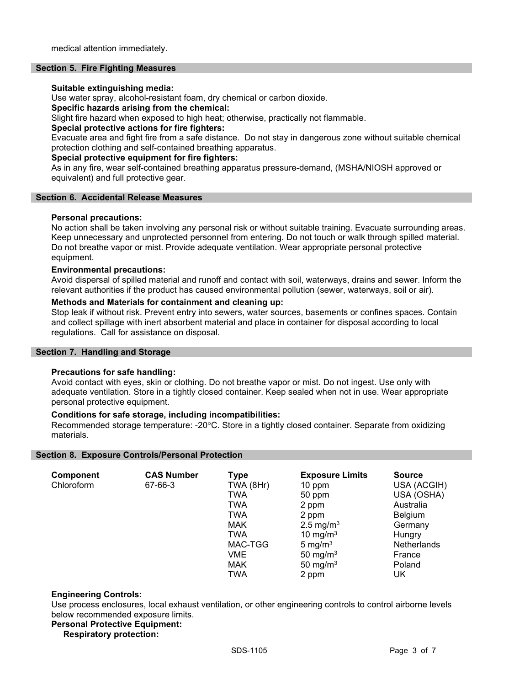### Section 5. Fire Fighting Measures

#### Suitable extinguishing media:

Use water spray, alcohol-resistant foam, dry chemical or carbon dioxide.

#### Specific hazards arising from the chemical:

Slight fire hazard when exposed to high heat; otherwise, practically not flammable.

## Special protective actions for fire fighters:

Evacuate area and fight fire from a safe distance. Do not stay in dangerous zone without suitable chemical protection clothing and self-contained breathing apparatus.

### Special protective equipment for fire fighters:

As in any fire, wear self-contained breathing apparatus pressure-demand, (MSHA/NIOSH approved or equivalent) and full protective gear.

## Section 6. Accidental Release Measures

## Personal precautions:

No action shall be taken involving any personal risk or without suitable training. Evacuate surrounding areas. Keep unnecessary and unprotected personnel from entering. Do not touch or walk through spilled material. Do not breathe vapor or mist. Provide adequate ventilation. Wear appropriate personal protective equipment.

#### Environmental precautions:

Avoid dispersal of spilled material and runoff and contact with soil, waterways, drains and sewer. Inform the relevant authorities if the product has caused environmental pollution (sewer, waterways, soil or air).

#### Methods and Materials for containment and cleaning up:

Stop leak if without risk. Prevent entry into sewers, water sources, basements or confines spaces. Contain and collect spillage with inert absorbent material and place in container for disposal according to local regulations. Call for assistance on disposal.

## Section 7. Handling and Storage

## Precautions for safe handling:

Avoid contact with eyes, skin or clothing. Do not breathe vapor or mist. Do not ingest. Use only with adequate ventilation. Store in a tightly closed container. Keep sealed when not in use. Wear appropriate personal protective equipment.

## Conditions for safe storage, including incompatibilities:

Recommended storage temperature: -20°C. Store in a tightly closed container. Separate from oxidizing materials.

#### Section 8. Exposure Controls/Personal Protection

| <b>Component</b> | <b>CAS Number</b> | <b>Type</b> | <b>Exposure Limits</b> | <b>Source</b>      |
|------------------|-------------------|-------------|------------------------|--------------------|
| Chloroform       | 67-66-3           | TWA (8Hr)   | 10 ppm                 | USA (ACGIH)        |
|                  |                   | <b>TWA</b>  | 50 ppm                 | USA (OSHA)         |
|                  |                   | <b>TWA</b>  | 2 ppm                  | Australia          |
|                  |                   | <b>TWA</b>  | 2 ppm                  | Belgium            |
|                  |                   | <b>MAK</b>  | 2.5 mg/m <sup>3</sup>  | Germany            |
|                  |                   | <b>TWA</b>  | 10 mg/m $3$            | Hungry             |
|                  |                   | MAC-TGG     | 5 mg/m $3$             | <b>Netherlands</b> |
|                  |                   | VME         | 50 mg/m $3$            | France             |
|                  |                   | <b>MAK</b>  | 50 mg/m $3$            | Poland             |
|                  |                   | <b>TWA</b>  | 2 ppm                  | UK                 |

## Engineering Controls:

Use process enclosures, local exhaust ventilation, or other engineering controls to control airborne levels below recommended exposure limits.

#### Personal Protective Equipment:

## Respiratory protection: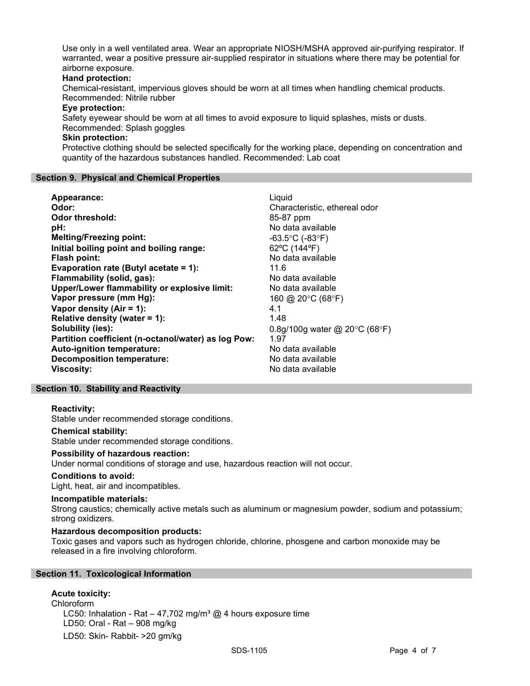Use only in a well ventilated area. Wear an appropriate NIOSH/MSHA approved air-purifying respirator. If warranted, wear a positive pressure air-supplied respirator in situations where there may be potential for airborne exposure.

## Hand protection:

Chemical-resistant, impervious gloves should be worn at all times when handling chemical products. Recommended: Nitrile rubber

#### Eye protection:

Safety eyewear should be worn at all times to avoid exposure to liquid splashes, mists or dusts.

# Recommended: Splash goggles

# Skin protection:

Protective clothing should be selected specifically for the working place, depending on concentration and quantity of the hazardous substances handled. Recommended: Lab coat

#### Section 9. Physical and Chemical Properties

| Appearance:                                         | Liquid                                            |
|-----------------------------------------------------|---------------------------------------------------|
| Odor:                                               | Characteristic, ethereal odor                     |
| <b>Odor threshold:</b>                              | 85-87 ppm                                         |
| pH:                                                 | No data available                                 |
| <b>Melting/Freezing point:</b>                      | $-63.5^{\circ}$ C (-83 $^{\circ}$ F)              |
| Initial boiling point and boiling range:            | 62°C (144°F)                                      |
| Flash point:                                        | No data available                                 |
| Evaporation rate (Butyl acetate = 1):               | 11.6                                              |
| Flammability (solid, gas):                          | No data available                                 |
| Upper/Lower flammability or explosive limit:        | No data available                                 |
| Vapor pressure (mm Hg):                             | 160 @ 20 $\degree$ C (68 $\degree$ F)             |
| Vapor density (Air = 1):                            | 4.1                                               |
| Relative density (water = 1):                       | 1.48                                              |
| Solubility (ies):                                   | 0.8g/100g water @ 20 $\degree$ C (68 $\degree$ F) |
| Partition coefficient (n-octanol/water) as log Pow: | 1.97                                              |
| Auto-ignition temperature:                          | No data available                                 |
| <b>Decomposition temperature:</b>                   | No data available                                 |
| <b>Viscosity:</b>                                   | No data available                                 |

## Section 10. Stability and Reactivity

## Reactivity:

Stable under recommended storage conditions.

#### Chemical stability:

Stable under recommended storage conditions.

#### Possibility of hazardous reaction:

Under normal conditions of storage and use, hazardous reaction will not occur.

#### Conditions to avoid:

Light, heat, air and incompatibles.

#### Incompatible materials:

Strong caustics; chemically active metals such as aluminum or magnesium powder, sodium and potassium; strong oxidizers.

## Hazardous decomposition products:

Toxic gases and vapors such as hydrogen chloride, chlorine, phosgene and carbon monoxide may be released in a fire involving chloroform.

## Section 11. Toxicological Information

## Acute toxicity:

Chloroform LC50: Inhalation - Rat - 47,702 mg/m<sup>3</sup> @ 4 hours exposure time LD50: Oral - Rat – 908 mg/kg LD50: Skin- Rabbit- >20 gm/kg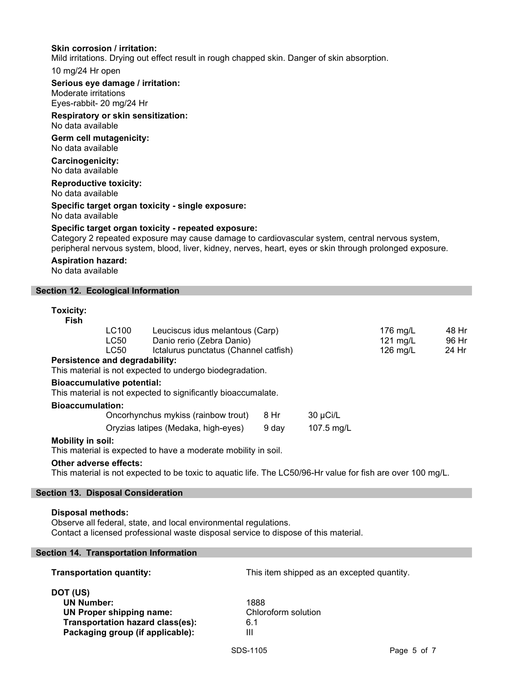## Skin corrosion / irritation:

Mild irritations. Drying out effect result in rough chapped skin. Danger of skin absorption.

## 10 mg/24 Hr open

### Serious eye damage / irritation:

Moderate irritations Eyes-rabbit- 20 mg/24 Hr

# Respiratory or skin sensitization:

No data available

Germ cell mutagenicity: No data available

## Carcinogenicity: No data available

#### Reproductive toxicity: No data available

#### Specific target organ toxicity - single exposure: No data available

## Specific target organ toxicity - repeated exposure:

Category 2 repeated exposure may cause damage to cardiovascular system, central nervous system, peripheral nervous system, blood, liver, kidney, nerves, heart, eyes or skin through prolonged exposure.

### Aspiration hazard:

No data available

## Section 12. Ecological Information

#### Toxicity:

| Fish |                                |                                       |                    |       |
|------|--------------------------------|---------------------------------------|--------------------|-------|
|      | LC100                          | Leuciscus idus melantous (Carp)       | 176 mg/L           | 48 Hr |
|      | LC50                           | Danio rerio (Zebra Danio)             | 121 $mg/L$         | 96 Hr |
|      | LC50                           | Ictalurus punctatus (Channel catfish) | $126 \text{ ma/L}$ | 24 Hr |
|      | Persistence and degradability: |                                       |                    |       |

This material is not expected to undergo biodegradation.

## Bioaccumulative potential:

This material is not expected to significantly bioaccumalate.

#### Bioaccumulation:

| Oncorhynchus mykiss (rainbow trout) | -8 Hr | 30 µCi/L   |
|-------------------------------------|-------|------------|
| Oryzias latipes (Medaka, high-eyes) | 9 dav | 107.5 mg/L |

## Mobility in soil:

This material is expected to have a moderate mobility in soil.

#### Other adverse effects:

This material is not expected to be toxic to aquatic life. The LC50/96-Hr value for fish are over 100 mg/L.

## Section 13. Disposal Consideration

## Disposal methods:

Observe all federal, state, and local environmental regulations. Contact a licensed professional waste disposal service to dispose of this material.

## Section 14. Transportation Information

| <b>Transportation quantity:</b>                                                                                                          | This item shipped as an excepted quantity. |
|------------------------------------------------------------------------------------------------------------------------------------------|--------------------------------------------|
| DOT (US)<br><b>UN Number:</b><br><b>UN Proper shipping name:</b><br>Transportation hazard class(es):<br>Packaging group (if applicable): | 1888<br>Chloroform solution<br>6.1<br>Ш    |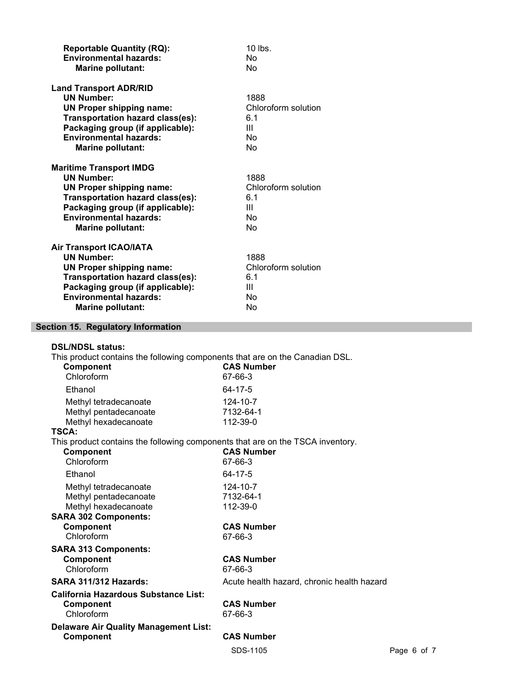| <b>Reportable Quantity (RQ):</b><br><b>Environmental hazards:</b><br><b>Marine pollutant:</b>                                                                                                                               | $10$ lbs.<br>No<br>No                               |
|-----------------------------------------------------------------------------------------------------------------------------------------------------------------------------------------------------------------------------|-----------------------------------------------------|
| <b>Land Transport ADR/RID</b><br><b>UN Number:</b><br><b>UN Proper shipping name:</b><br>Transportation hazard class(es):<br>Packaging group (if applicable):<br><b>Environmental hazards:</b><br><b>Marine pollutant:</b>  | 1888<br>Chloroform solution<br>6.1<br>Ш<br>No<br>No |
| <b>Maritime Transport IMDG</b><br><b>UN Number:</b><br><b>UN Proper shipping name:</b><br>Transportation hazard class(es):<br>Packaging group (if applicable):<br><b>Environmental hazards:</b><br><b>Marine pollutant:</b> | 1888<br>Chloroform solution<br>6.1<br>Ш<br>No<br>No |
| <b>Air Transport ICAO/IATA</b><br><b>UN Number:</b><br><b>UN Proper shipping name:</b><br>Transportation hazard class(es):<br>Packaging group (if applicable):<br><b>Environmental hazards:</b><br><b>Marine pollutant:</b> | 1888<br>Chloroform solution<br>6.1<br>Ш<br>No<br>No |
| Section 15. Regulatory Information                                                                                                                                                                                          |                                                     |

| <b>DSL/NDSL status:</b>                                                                   |                                            |             |
|-------------------------------------------------------------------------------------------|--------------------------------------------|-------------|
| This product contains the following components that are on the Canadian DSL.<br>Component | <b>CAS Number</b>                          |             |
| Chloroform                                                                                | 67-66-3                                    |             |
| Ethanol                                                                                   | 64-17-5                                    |             |
| Methyl tetradecanoate                                                                     | 124-10-7                                   |             |
| Methyl pentadecanoate                                                                     | 7132-64-1                                  |             |
| Methyl hexadecanoate                                                                      | 112-39-0                                   |             |
| TSCA:                                                                                     |                                            |             |
| This product contains the following components that are on the TSCA inventory.            |                                            |             |
| <b>Component</b>                                                                          | <b>CAS Number</b>                          |             |
| Chloroform                                                                                | 67-66-3                                    |             |
| Ethanol                                                                                   | 64-17-5                                    |             |
| Methyl tetradecanoate                                                                     | 124-10-7                                   |             |
| Methyl pentadecanoate                                                                     | 7132-64-1                                  |             |
| Methyl hexadecanoate                                                                      | 112-39-0                                   |             |
| <b>SARA 302 Components:</b>                                                               |                                            |             |
| <b>Component</b>                                                                          | <b>CAS Number</b>                          |             |
| Chloroform                                                                                | 67-66-3                                    |             |
| <b>SARA 313 Components:</b>                                                               |                                            |             |
| <b>Component</b>                                                                          | <b>CAS Number</b>                          |             |
| Chloroform                                                                                | 67-66-3                                    |             |
| <b>SARA 311/312 Hazards:</b>                                                              | Acute health hazard, chronic health hazard |             |
| California Hazardous Substance List:                                                      |                                            |             |
| <b>Component</b>                                                                          | <b>CAS Number</b>                          |             |
| Chloroform                                                                                | 67-66-3                                    |             |
| <b>Delaware Air Quality Management List:</b>                                              |                                            |             |
| Component                                                                                 | <b>CAS Number</b>                          |             |
|                                                                                           | SDS-1105                                   | Page 6 of 7 |